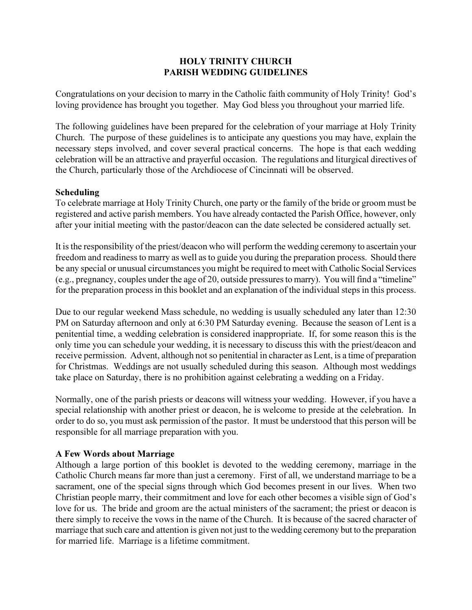# HOLY TRINITY CHURCH PARISH WEDDING GUIDELINES

Congratulations on your decision to marry in the Catholic faith community of Holy Trinity! God's loving providence has brought you together. May God bless you throughout your married life.

The following guidelines have been prepared for the celebration of your marriage at Holy Trinity Church. The purpose of these guidelines is to anticipate any questions you may have, explain the necessary steps involved, and cover several practical concerns. The hope is that each wedding celebration will be an attractive and prayerful occasion. The regulations and liturgical directives of the Church, particularly those of the Archdiocese of Cincinnati will be observed.

# Scheduling

To celebrate marriage at Holy Trinity Church, one party or the family of the bride or groom must be registered and active parish members. You have already contacted the Parish Office, however, only after your initial meeting with the pastor/deacon can the date selected be considered actually set.

It is the responsibility of the priest/deacon who will perform the wedding ceremony to ascertain your freedom and readiness to marry as well as to guide you during the preparation process. Should there be any special or unusual circumstances you might be required to meet with Catholic Social Services (e.g., pregnancy, couples under the age of 20, outside pressures to marry). You will find a "timeline" for the preparation process in this booklet and an explanation of the individual steps in this process.

Due to our regular weekend Mass schedule, no wedding is usually scheduled any later than 12:30 PM on Saturday afternoon and only at 6:30 PM Saturday evening. Because the season of Lent is a penitential time, a wedding celebration is considered inappropriate. If, for some reason this is the only time you can schedule your wedding, it is necessary to discuss this with the priest/deacon and receive permission. Advent, although not so penitential in character as Lent, is a time of preparation for Christmas. Weddings are not usually scheduled during this season. Although most weddings take place on Saturday, there is no prohibition against celebrating a wedding on a Friday.

Normally, one of the parish priests or deacons will witness your wedding. However, if you have a special relationship with another priest or deacon, he is welcome to preside at the celebration. In order to do so, you must ask permission of the pastor. It must be understood that this person will be responsible for all marriage preparation with you.

# A Few Words about Marriage

Although a large portion of this booklet is devoted to the wedding ceremony, marriage in the Catholic Church means far more than just a ceremony. First of all, we understand marriage to be a sacrament, one of the special signs through which God becomes present in our lives. When two Christian people marry, their commitment and love for each other becomes a visible sign of God's love for us. The bride and groom are the actual ministers of the sacrament; the priest or deacon is there simply to receive the vows in the name of the Church. It is because of the sacred character of marriage that such care and attention is given not just to the wedding ceremony but to the preparation for married life. Marriage is a lifetime commitment.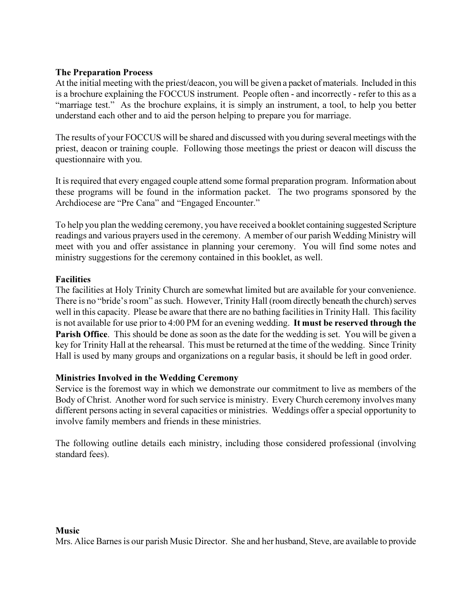# The Preparation Process

At the initial meeting with the priest/deacon, you will be given a packet of materials. Included in this is a brochure explaining the FOCCUS instrument. People often - and incorrectly - refer to this as a "marriage test." As the brochure explains, it is simply an instrument, a tool, to help you better understand each other and to aid the person helping to prepare you for marriage.

The results of your FOCCUS will be shared and discussed with you during several meetings with the priest, deacon or training couple. Following those meetings the priest or deacon will discuss the questionnaire with you.

It is required that every engaged couple attend some formal preparation program. Information about these programs will be found in the information packet. The two programs sponsored by the Archdiocese are "Pre Cana" and "Engaged Encounter."

To help you plan the wedding ceremony, you have received a booklet containing suggested Scripture readings and various prayers used in the ceremony. A member of our parish Wedding Ministry will meet with you and offer assistance in planning your ceremony. You will find some notes and ministry suggestions for the ceremony contained in this booklet, as well.

# **Facilities**

The facilities at Holy Trinity Church are somewhat limited but are available for your convenience. There is no "bride's room" as such. However, Trinity Hall (room directly beneath the church) serves well in this capacity. Please be aware that there are no bathing facilities in Trinity Hall. This facility is not available for use prior to 4:00 PM for an evening wedding. It must be reserved through the **Parish Office.** This should be done as soon as the date for the wedding is set. You will be given a key for Trinity Hall at the rehearsal. This must be returned at the time of the wedding. Since Trinity Hall is used by many groups and organizations on a regular basis, it should be left in good order.

#### Ministries Involved in the Wedding Ceremony

Service is the foremost way in which we demonstrate our commitment to live as members of the Body of Christ. Another word for such service is ministry. Every Church ceremony involves many different persons acting in several capacities or ministries. Weddings offer a special opportunity to involve family members and friends in these ministries.

The following outline details each ministry, including those considered professional (involving standard fees).

#### Music

Mrs. Alice Barnes is our parish Music Director. She and her husband, Steve, are available to provide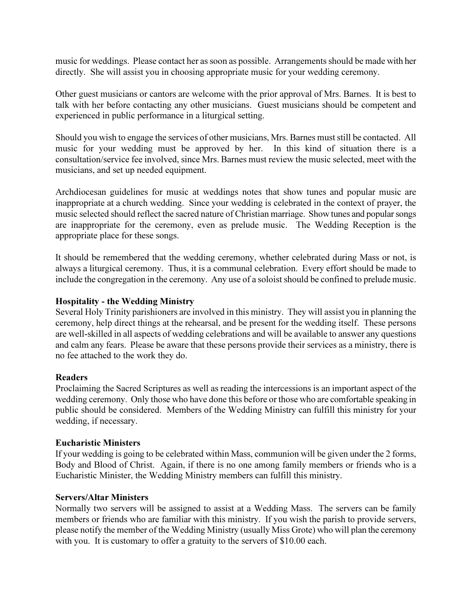music for weddings. Please contact her as soon as possible. Arrangements should be made with her directly. She will assist you in choosing appropriate music for your wedding ceremony.

Other guest musicians or cantors are welcome with the prior approval of Mrs. Barnes. It is best to talk with her before contacting any other musicians. Guest musicians should be competent and experienced in public performance in a liturgical setting.

Should you wish to engage the services of other musicians, Mrs. Barnes must still be contacted. All music for your wedding must be approved by her. In this kind of situation there is a consultation/service fee involved, since Mrs. Barnes must review the music selected, meet with the musicians, and set up needed equipment.

Archdiocesan guidelines for music at weddings notes that show tunes and popular music are inappropriate at a church wedding. Since your wedding is celebrated in the context of prayer, the music selected should reflect the sacred nature of Christian marriage. Show tunes and popular songs are inappropriate for the ceremony, even as prelude music. The Wedding Reception is the appropriate place for these songs.

It should be remembered that the wedding ceremony, whether celebrated during Mass or not, is always a liturgical ceremony. Thus, it is a communal celebration. Every effort should be made to include the congregation in the ceremony. Any use of a soloist should be confined to prelude music.

## Hospitality - the Wedding Ministry

Several Holy Trinity parishioners are involved in this ministry. They will assist you in planning the ceremony, help direct things at the rehearsal, and be present for the wedding itself. These persons are well-skilled in all aspects of wedding celebrations and will be available to answer any questions and calm any fears. Please be aware that these persons provide their services as a ministry, there is no fee attached to the work they do.

#### Readers

Proclaiming the Sacred Scriptures as well as reading the intercessions is an important aspect of the wedding ceremony. Only those who have done this before or those who are comfortable speaking in public should be considered. Members of the Wedding Ministry can fulfill this ministry for your wedding, if necessary.

#### Eucharistic Ministers

If your wedding is going to be celebrated within Mass, communion will be given under the 2 forms, Body and Blood of Christ. Again, if there is no one among family members or friends who is a Eucharistic Minister, the Wedding Ministry members can fulfill this ministry.

#### Servers/Altar Ministers

Normally two servers will be assigned to assist at a Wedding Mass. The servers can be family members or friends who are familiar with this ministry. If you wish the parish to provide servers, please notify the member of the Wedding Ministry (usually Miss Grote) who will plan the ceremony with you. It is customary to offer a gratuity to the servers of \$10.00 each.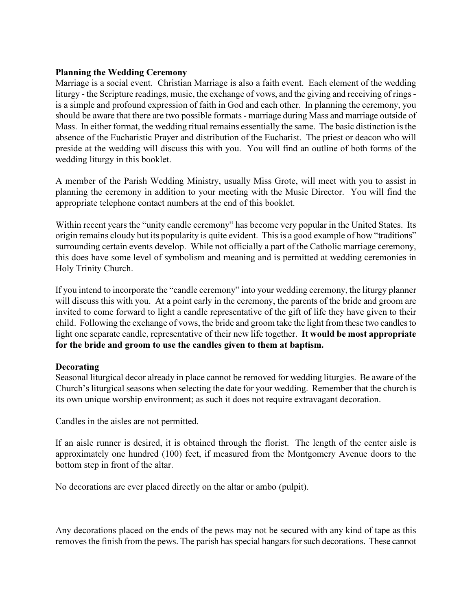## Planning the Wedding Ceremony

Marriage is a social event. Christian Marriage is also a faith event. Each element of the wedding liturgy - the Scripture readings, music, the exchange of vows, and the giving and receiving of rings is a simple and profound expression of faith in God and each other. In planning the ceremony, you should be aware that there are two possible formats - marriage during Mass and marriage outside of Mass. In either format, the wedding ritual remains essentially the same. The basic distinction is the absence of the Eucharistic Prayer and distribution of the Eucharist. The priest or deacon who will preside at the wedding will discuss this with you. You will find an outline of both forms of the wedding liturgy in this booklet.

A member of the Parish Wedding Ministry, usually Miss Grote, will meet with you to assist in planning the ceremony in addition to your meeting with the Music Director. You will find the appropriate telephone contact numbers at the end of this booklet.

Within recent years the "unity candle ceremony" has become very popular in the United States. Its origin remains cloudy but its popularity is quite evident. This is a good example of how "traditions" surrounding certain events develop. While not officially a part of the Catholic marriage ceremony, this does have some level of symbolism and meaning and is permitted at wedding ceremonies in Holy Trinity Church.

If you intend to incorporate the "candle ceremony" into your wedding ceremony, the liturgy planner will discuss this with you. At a point early in the ceremony, the parents of the bride and groom are invited to come forward to light a candle representative of the gift of life they have given to their child. Following the exchange of vows, the bride and groom take the light from these two candles to light one separate candle, representative of their new life together. It would be most appropriate for the bride and groom to use the candles given to them at baptism.

#### Decorating

Seasonal liturgical decor already in place cannot be removed for wedding liturgies. Be aware of the Church's liturgical seasons when selecting the date for your wedding. Remember that the church is its own unique worship environment; as such it does not require extravagant decoration.

Candles in the aisles are not permitted.

If an aisle runner is desired, it is obtained through the florist. The length of the center aisle is approximately one hundred (100) feet, if measured from the Montgomery Avenue doors to the bottom step in front of the altar.

No decorations are ever placed directly on the altar or ambo (pulpit).

Any decorations placed on the ends of the pews may not be secured with any kind of tape as this removes the finish from the pews. The parish has special hangars for such decorations. These cannot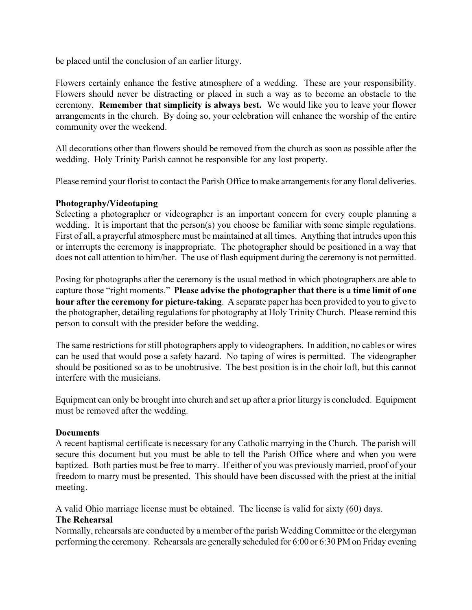be placed until the conclusion of an earlier liturgy.

Flowers certainly enhance the festive atmosphere of a wedding. These are your responsibility. Flowers should never be distracting or placed in such a way as to become an obstacle to the ceremony. Remember that simplicity is always best. We would like you to leave your flower arrangements in the church. By doing so, your celebration will enhance the worship of the entire community over the weekend.

All decorations other than flowers should be removed from the church as soon as possible after the wedding. Holy Trinity Parish cannot be responsible for any lost property.

Please remind your florist to contact the Parish Office to make arrangements for any floral deliveries.

#### Photography/Videotaping

Selecting a photographer or videographer is an important concern for every couple planning a wedding. It is important that the person(s) you choose be familiar with some simple regulations. First of all, a prayerful atmosphere must be maintained at all times. Anything that intrudes upon this or interrupts the ceremony is inappropriate. The photographer should be positioned in a way that does not call attention to him/her. The use of flash equipment during the ceremony is not permitted.

Posing for photographs after the ceremony is the usual method in which photographers are able to capture those "right moments." Please advise the photographer that there is a time limit of one hour after the ceremony for picture-taking. A separate paper has been provided to you to give to the photographer, detailing regulations for photography at Holy Trinity Church. Please remind this person to consult with the presider before the wedding.

The same restrictions for still photographers apply to videographers. In addition, no cables or wires can be used that would pose a safety hazard. No taping of wires is permitted. The videographer should be positioned so as to be unobtrusive. The best position is in the choir loft, but this cannot interfere with the musicians.

Equipment can only be brought into church and set up after a prior liturgy is concluded. Equipment must be removed after the wedding.

#### Documents

A recent baptismal certificate is necessary for any Catholic marrying in the Church. The parish will secure this document but you must be able to tell the Parish Office where and when you were baptized. Both parties must be free to marry. If either of you was previously married, proof of your freedom to marry must be presented. This should have been discussed with the priest at the initial meeting.

A valid Ohio marriage license must be obtained. The license is valid for sixty (60) days.

#### The Rehearsal

Normally, rehearsals are conducted by a member of the parish Wedding Committee or the clergyman performing the ceremony. Rehearsals are generally scheduled for 6:00 or 6:30 PM on Friday evening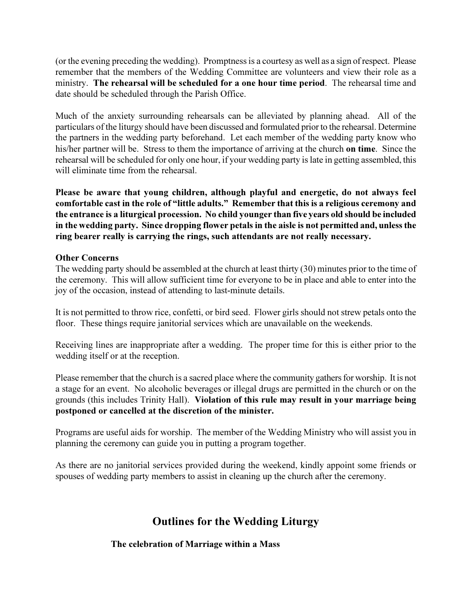(or the evening preceding the wedding). Promptness is a courtesy as well as a sign of respect. Please remember that the members of the Wedding Committee are volunteers and view their role as a ministry. The rehearsal will be scheduled for a one hour time period. The rehearsal time and date should be scheduled through the Parish Office.

Much of the anxiety surrounding rehearsals can be alleviated by planning ahead. All of the particulars of the liturgy should have been discussed and formulated prior to the rehearsal. Determine the partners in the wedding party beforehand. Let each member of the wedding party know who his/her partner will be. Stress to them the importance of arriving at the church **on time**. Since the rehearsal will be scheduled for only one hour, if your wedding party is late in getting assembled, this will eliminate time from the rehearsal.

Please be aware that young children, although playful and energetic, do not always feel comfortable cast in the role of "little adults." Remember that this is a religious ceremony and the entrance is a liturgical procession. No child younger than five years old should be included in the wedding party. Since dropping flower petals in the aisle is not permitted and, unless the ring bearer really is carrying the rings, such attendants are not really necessary.

# Other Concerns

The wedding party should be assembled at the church at least thirty (30) minutes prior to the time of the ceremony. This will allow sufficient time for everyone to be in place and able to enter into the joy of the occasion, instead of attending to last-minute details.

It is not permitted to throw rice, confetti, or bird seed. Flower girls should not strew petals onto the floor. These things require janitorial services which are unavailable on the weekends.

Receiving lines are inappropriate after a wedding. The proper time for this is either prior to the wedding itself or at the reception.

Please remember that the church is a sacred place where the community gathers for worship. It is not a stage for an event. No alcoholic beverages or illegal drugs are permitted in the church or on the grounds (this includes Trinity Hall). Violation of this rule may result in your marriage being postponed or cancelled at the discretion of the minister.

Programs are useful aids for worship. The member of the Wedding Ministry who will assist you in planning the ceremony can guide you in putting a program together.

As there are no janitorial services provided during the weekend, kindly appoint some friends or spouses of wedding party members to assist in cleaning up the church after the ceremony.

# Outlines for the Wedding Liturgy

# The celebration of Marriage within a Mass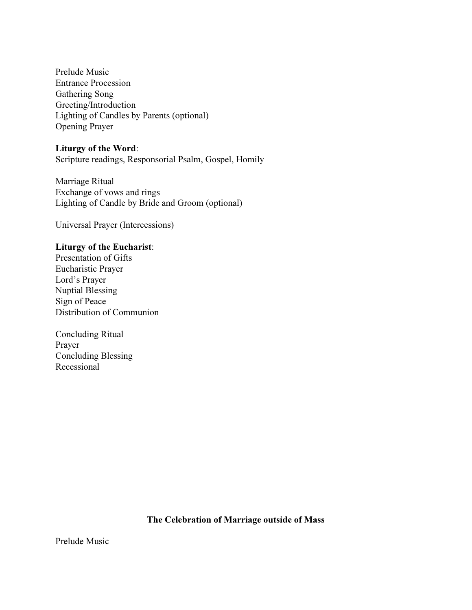Prelude Music Entrance Procession Gathering Song Greeting/Introduction Lighting of Candles by Parents (optional) Opening Prayer

#### Liturgy of the Word:

Scripture readings, Responsorial Psalm, Gospel, Homily

Marriage Ritual Exchange of vows and rings Lighting of Candle by Bride and Groom (optional)

Universal Prayer (Intercessions)

# Liturgy of the Eucharist:

Presentation of Gifts Eucharistic Prayer Lord's Prayer Nuptial Blessing Sign of Peace Distribution of Communion

Concluding Ritual Prayer Concluding Blessing Recessional

#### The Celebration of Marriage outside of Mass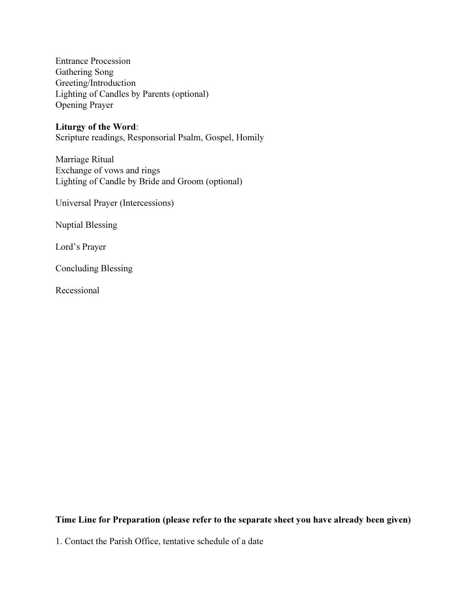Entrance Procession Gathering Song Greeting/Introduction Lighting of Candles by Parents (optional) Opening Prayer

#### Liturgy of the Word:

Scripture readings, Responsorial Psalm, Gospel, Homily

Marriage Ritual Exchange of vows and rings Lighting of Candle by Bride and Groom (optional)

Universal Prayer (Intercessions)

Nuptial Blessing

Lord's Prayer

Concluding Blessing

Recessional

# Time Line for Preparation (please refer to the separate sheet you have already been given)

1. Contact the Parish Office, tentative schedule of a date